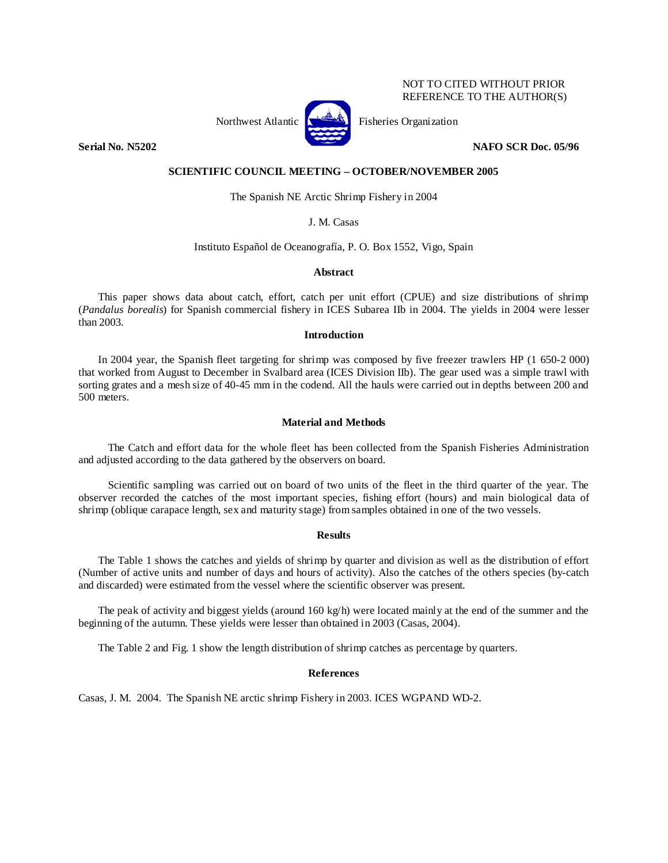# NOT TO CITED WITHOUT PRIOR REFERENCE TO THE AUTHOR(S)



Northwest Atlantic **No. 3. Expansion** Fisheries Organization

**Serial No. N5202 NAFO SCR Doc. 05/96** 

## **SCIENTIFIC COUNCIL MEETING – OCTOBER/NOVEMBER 2005**

The Spanish NE Arctic Shrimp Fishery in 2004

## J. M. Casas

#### Instituto Español de Oceanografía, P. O. Box 1552, Vigo, Spain

#### **Abstract**

This paper shows data about catch, effort, catch per unit effort (CPUE) and size distributions of shrimp (*Pandalus borealis*) for Spanish commercial fishery in ICES Subarea IIb in 2004. The yields in 2004 were lesser than 2003.

# **Introduction**

In 2004 year, the Spanish fleet targeting for shrimp was composed by five freezer trawlers HP (1 650-2 000) that worked from August to December in Svalbard area (ICES Division IIb). The gear used was a simple trawl with sorting grates and a mesh size of 40-45 mm in the codend. All the hauls were carried out in depths between 200 and 500 meters.

### **Material and Methods**

The Catch and effort data for the whole fleet has been collected from the Spanish Fisheries Administration and adjusted according to the data gathered by the observers on board.

Scientific sampling was carried out on board of two units of the fleet in the third quarter of the year. The observer recorded the catches of the most important species, fishing effort (hours) and main biological data of shrimp (oblique carapace length, sex and maturity stage) from samples obtained in one of the two vessels.

#### **Results**

The Table 1 shows the catches and yields of shrimp by quarter and division as well as the distribution of effort (Number of active units and number of days and hours of activity). Also the catches of the others species (by-catch and discarded) were estimated from the vessel where the scientific observer was present.

The peak of activity and biggest yields (around 160 kg/h) were located mainly at the end of the summer and the beginning of the autumn. These yields were lesser than obtained in 2003 (Casas, 2004).

The Table 2 and Fig. 1 show the length distribution of shrimp catches as percentage by quarters.

### **References**

Casas, J. M. 2004. The Spanish NE arctic shrimp Fishery in 2003. ICES WGPAND WD-2.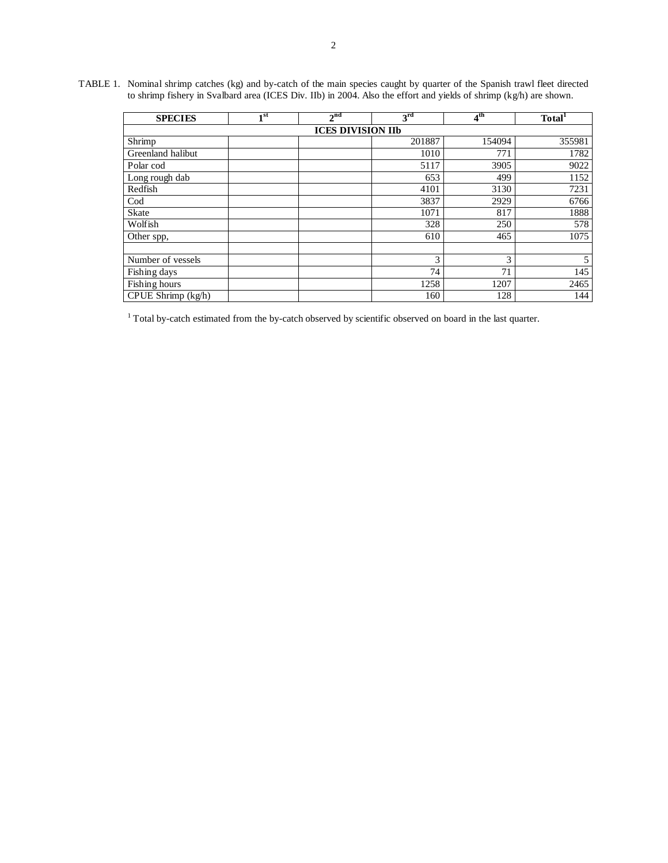TABLE 1. Nominal shrimp catches (kg) and by-catch of the main species caught by quarter of the Spanish trawl fleet directed to shrimp fishery in Svalbard area (ICES Div. IIb) in 2004. Also the effort and yields of shrimp (kg/h) are shown.

| <b>SPECIES</b>                         | $1^{\rm st}$ | 2 <sup>nd</sup> | 3 <sup>rd</sup> | $4^{\rm th}$ | Total <sup>1</sup> |  |  |  |  |  |
|----------------------------------------|--------------|-----------------|-----------------|--------------|--------------------|--|--|--|--|--|
| <b>ICES DIVISION IIb</b>               |              |                 |                 |              |                    |  |  |  |  |  |
| Shrimp                                 |              |                 | 201887          | 154094       | 355981             |  |  |  |  |  |
| Greenland halibut                      |              |                 | 1010            | 771          | 1782               |  |  |  |  |  |
| Polar cod                              |              |                 | 5117            | 3905         | 9022               |  |  |  |  |  |
| Long rough dab                         |              |                 | 653             | 499          | 1152               |  |  |  |  |  |
| Redfish                                |              |                 | 4101            | 3130         | 7231               |  |  |  |  |  |
| Cod                                    |              |                 | 3837            | 2929         | 6766               |  |  |  |  |  |
| <b>Skate</b>                           |              |                 | 1071            | 817          | 1888               |  |  |  |  |  |
| Wolfish                                |              |                 | 328             | 250          | 578                |  |  |  |  |  |
| Other spp,                             |              |                 | 610             | 465          | 1075               |  |  |  |  |  |
|                                        |              |                 |                 |              |                    |  |  |  |  |  |
| Number of vessels                      |              |                 | 3               | 3            | 5                  |  |  |  |  |  |
| Fishing days                           |              |                 | 74              | 71           | 145                |  |  |  |  |  |
| Fishing hours                          |              |                 | 1258            | 1207         | 2465               |  |  |  |  |  |
| $\overline{\text{CPUE Shrimp}}$ (kg/h) |              |                 | 160             | 128          | 144                |  |  |  |  |  |

<sup>1</sup> Total by-catch estimated from the by-catch observed by scientific observed on board in the last quarter.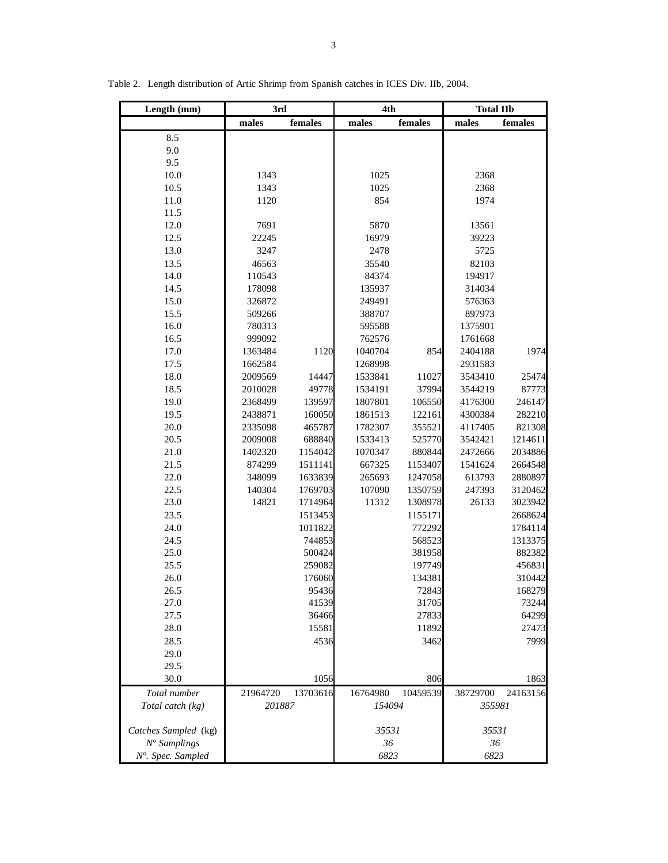| Length (mm)          | 3rd                  |         | 4th                  |         | <b>Total IIb</b>     |         |
|----------------------|----------------------|---------|----------------------|---------|----------------------|---------|
|                      | males                | females | males                | females | males                | females |
| 8.5                  |                      |         |                      |         |                      |         |
| 9.0                  |                      |         |                      |         |                      |         |
| 9.5                  |                      |         |                      |         |                      |         |
| 10.0                 | 1343                 |         | 1025                 |         | 2368                 |         |
| 10.5                 | 1343                 |         | 1025                 |         | 2368                 |         |
| 11.0                 | 1120                 |         | 854                  |         | 1974                 |         |
| 11.5                 |                      |         |                      |         |                      |         |
| 12.0                 | 7691                 |         | 5870                 |         | 13561                |         |
| 12.5                 | 22245                |         | 16979                |         | 39223                |         |
| 13.0                 | 3247                 |         | 2478                 |         | 5725                 |         |
| 13.5                 | 46563                |         | 35540                |         | 82103                |         |
| 14.0                 | 110543               |         | 84374                |         | 194917               |         |
| 14.5                 | 178098               |         | 135937               |         | 314034               |         |
| 15.0                 | 326872               |         | 249491               |         | 576363               |         |
| 15.5                 | 509266               |         | 388707               |         | 897973               |         |
| 16.0                 | 780313               |         | 595588               |         | 1375901              |         |
| 16.5                 | 999092               |         | 762576               |         | 1761668              |         |
| 17.0                 | 1363484              | 1120    | 1040704              | 854     | 2404188              | 1974    |
| 17.5                 | 1662584              |         | 1268998              |         | 2931583              |         |
| 18.0                 | 2009569              | 14447   | 1533841              | 11027   | 3543410              | 25474   |
| 18.5                 | 2010028              | 49778   | 1534191              | 37994   | 3544219              | 87773   |
| 19.0                 | 2368499              | 139597  | 1807801              | 106550  | 4176300              | 246147  |
| 19.5                 | 2438871              | 160050  | 1861513              | 122161  | 4300384              | 282210  |
| 20.0                 | 2335098              | 465787  | 1782307              | 355521  | 4117405              | 821308  |
| 20.5                 | 2009008              | 688840  | 1533413              | 525770  | 3542421              | 1214611 |
| 21.0                 | 1402320              | 1154042 | 1070347              | 880844  | 2472666              | 2034886 |
| 21.5                 | 874299               | 1511141 | 667325               | 1153407 | 1541624              | 2664548 |
| 22.0                 | 348099               | 1633839 | 265693               | 1247058 | 613793               | 2880897 |
| 22.5                 | 140304               | 1769703 | 107090               | 1350759 | 247393               | 3120462 |
| 23.0                 | 14821                | 1714964 | 11312                | 1308978 | 26133                | 3023942 |
| 23.5                 |                      | 1513453 |                      | 1155171 |                      | 2668624 |
| 24.0                 |                      | 1011822 |                      | 772292  |                      | 1784114 |
| 24.5                 |                      | 744853  |                      | 568523  |                      | 1313375 |
| 25.0                 |                      | 500424  |                      | 381958  |                      | 882382  |
| 25.5                 |                      | 259082  |                      | 197749  |                      | 456831  |
| 26.0                 |                      | 176060  |                      | 134381  |                      | 310442  |
| 26.5                 |                      | 95436   |                      | 72843   |                      | 168279  |
| 27.0                 |                      | 41539   |                      | 31705   |                      | 73244   |
| 27.5                 |                      | 36466   |                      | 27833   |                      | 64299   |
| 28.0                 |                      | 15581   |                      | 11892   |                      | 27473   |
| 28.5                 |                      | 4536    |                      | 3462    |                      | 7999    |
| 29.0                 |                      |         |                      |         |                      |         |
| 29.5                 |                      |         |                      |         |                      |         |
| 30.0                 |                      | 1056    |                      | 806     |                      | 1863    |
| Total number         | 21964720<br>13703616 |         | 10459539<br>16764980 |         | 24163156<br>38729700 |         |
| Total catch (kg)     | 201887               |         | 154094               |         | 355981               |         |
|                      |                      |         |                      |         |                      |         |
| Catches Sampled (kg) |                      |         | 35531                |         | 35531                |         |
| $No$ Samplings       |                      |         | 36                   |         | 36                   |         |
| Nº. Spec. Sampled    |                      |         | 6823                 |         | 6823                 |         |

Table 2. Length distribution of Artic Shrimp from Spanish catches in ICES Div. IIb, 2004.